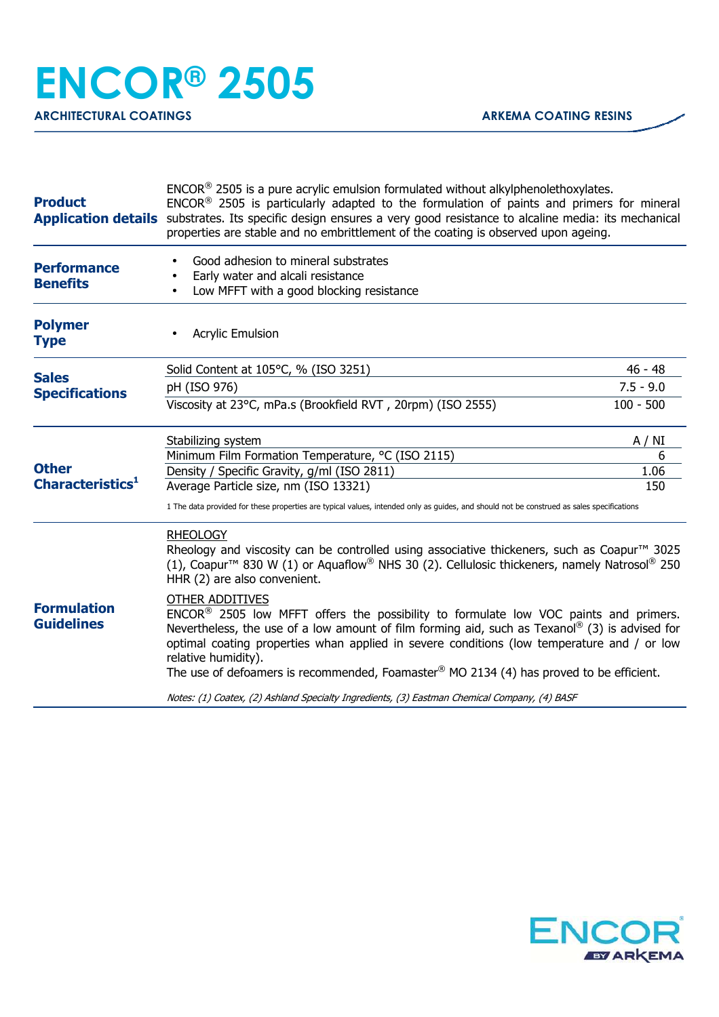| <b>Product</b>                                                                                                                   | $ENCOR®$ 2505 is a pure acrylic emulsion formulated without alkylphenolethoxylates.<br>$ENCOR®$ 2505 is particularly adapted to the formulation of paints and primers for mineral<br>Application details substrates. Its specific design ensures a very good resistance to alcaline media: its mechanical<br>properties are stable and no embrittlement of the coating is observed upon ageing.                                                |             |  |
|----------------------------------------------------------------------------------------------------------------------------------|------------------------------------------------------------------------------------------------------------------------------------------------------------------------------------------------------------------------------------------------------------------------------------------------------------------------------------------------------------------------------------------------------------------------------------------------|-------------|--|
| <b>Performance</b><br><b>Benefits</b>                                                                                            | Good adhesion to mineral substrates<br>Early water and alcali resistance<br>Low MFFT with a good blocking resistance<br>$\bullet$                                                                                                                                                                                                                                                                                                              |             |  |
| <b>Polymer</b><br><b>Type</b>                                                                                                    | <b>Acrylic Emulsion</b>                                                                                                                                                                                                                                                                                                                                                                                                                        |             |  |
| <b>Sales</b><br><b>Specifications</b><br><b>Other</b><br>Characteristics <sup>1</sup><br><b>Formulation</b><br><b>Guidelines</b> | Solid Content at 105°C, % (ISO 3251)                                                                                                                                                                                                                                                                                                                                                                                                           | 46 - 48     |  |
|                                                                                                                                  | pH (ISO 976)                                                                                                                                                                                                                                                                                                                                                                                                                                   | $7.5 - 9.0$ |  |
|                                                                                                                                  | Viscosity at 23°C, mPa.s (Brookfield RVT, 20rpm) (ISO 2555)                                                                                                                                                                                                                                                                                                                                                                                    | $100 - 500$ |  |
|                                                                                                                                  | Stabilizing system                                                                                                                                                                                                                                                                                                                                                                                                                             | A / NI      |  |
|                                                                                                                                  | Minimum Film Formation Temperature, °C (ISO 2115)                                                                                                                                                                                                                                                                                                                                                                                              | 6           |  |
|                                                                                                                                  | Density / Specific Gravity, g/ml (ISO 2811)                                                                                                                                                                                                                                                                                                                                                                                                    | 1.06        |  |
|                                                                                                                                  | Average Particle size, nm (ISO 13321)<br>1 The data provided for these properties are typical values, intended only as guides, and should not be construed as sales specifications                                                                                                                                                                                                                                                             | 150         |  |
|                                                                                                                                  | <b>RHEOLOGY</b><br>Rheology and viscosity can be controlled using associative thickeners, such as Coapur <sup>™</sup> 3025<br>(1), Coapur <sup>™</sup> 830 W (1) or Aquaflow® NHS 30 (2). Cellulosic thickeners, namely Natrosol® 250<br>HHR (2) are also convenient.                                                                                                                                                                          |             |  |
|                                                                                                                                  | <b>OTHER ADDITIVES</b><br>$ENCOR®$ 2505 low MFFT offers the possibility to formulate low VOC paints and primers.<br>Nevertheless, the use of a low amount of film forming aid, such as Texanol <sup>®</sup> (3) is advised for<br>optimal coating properties whan applied in severe conditions (low temperature and / or low<br>relative humidity).<br>The use of defoamers is recommended, Foamaster® MO 2134 (4) has proved to be efficient. |             |  |
|                                                                                                                                  | Notes: (1) Coatex, (2) Ashland Specialty Ingredients, (3) Eastman Chemical Company, (4) BASF                                                                                                                                                                                                                                                                                                                                                   |             |  |